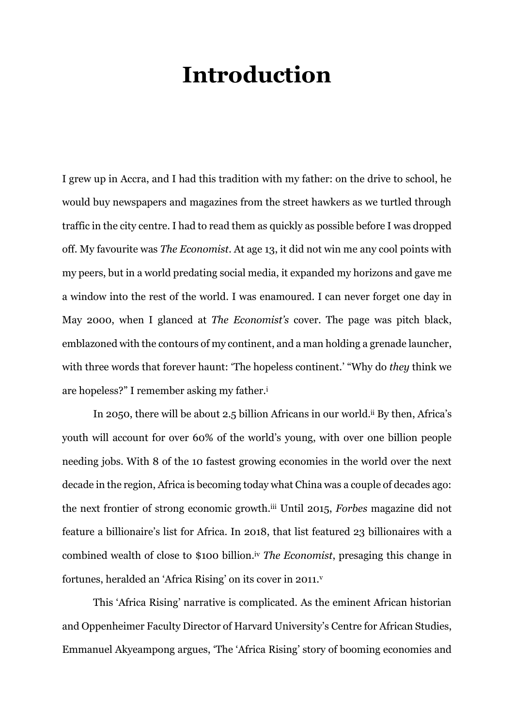## **Introduction**

I grew up in Accra, and I had this tradition with my father: on the drive to school, he would buy newspapers and magazines from the street hawkers as we turtled through traffic in the city centre. I had to read them as quickly as possible before I was dropped off. My favourite was *The Economist*. At age 13, it did not win me any cool points with my peers, but in a world predating social media, it expanded my horizons and gave me a window into the rest of the world. I was enamoured. I can never forget one day in May 2000, when I glanced at *The Economist's* cover. The page was pitch black, emblazoned with the contours of my continent, and a man holding a grenade launcher, with three words that forever haunt: 'The hopeless continent.' "Why do *they* think we are hopeless?" I remember asking my father.<sup>i</sup>

In 2050, there will be about 2.5 billion Africans in our world.ii By then, Africa's youth will account for over 60% of the world's young, with over one billion people needing jobs. With 8 of the 10 fastest growing economies in the world over the next decade in the region, Africa is becoming today what China was a couple of decades ago: the next frontier of strong economic growth.iii Until 2015, *Forbes* magazine did not feature a billionaire's list for Africa. In 2018, that list featured 23 billionaires with a combined wealth of close to \$100 billion.iv *The Economist*, presaging this change in fortunes, heralded an 'Africa Rising' on its cover in 2011. v

This 'Africa Rising' narrative is complicated. As the eminent African historian and Oppenheimer Faculty Director of Harvard University's Centre for African Studies, Emmanuel Akyeampong argues, 'The 'Africa Rising' story of booming economies and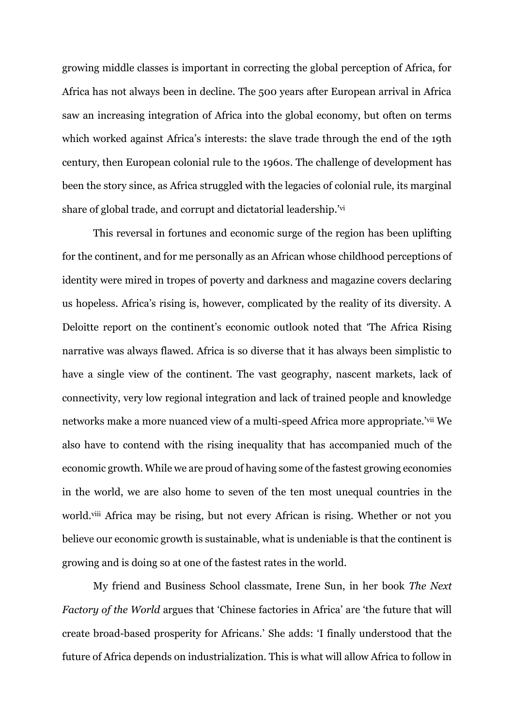growing middle classes is important in correcting the global perception of Africa, for Africa has not always been in decline. The 500 years after European arrival in Africa saw an increasing integration of Africa into the global economy, but often on terms which worked against Africa's interests: the slave trade through the end of the 19th century, then European colonial rule to the 1960s. The challenge of development has been the story since, as Africa struggled with the legacies of colonial rule, its marginal share of global trade, and corrupt and dictatorial leadership.' vi

This reversal in fortunes and economic surge of the region has been uplifting for the continent, and for me personally as an African whose childhood perceptions of identity were mired in tropes of poverty and darkness and magazine covers declaring us hopeless. Africa's rising is, however, complicated by the reality of its diversity. A Deloitte report on the continent's economic outlook noted that 'The Africa Rising narrative was always flawed. Africa is so diverse that it has always been simplistic to have a single view of the continent. The vast geography, nascent markets, lack of connectivity, very low regional integration and lack of trained people and knowledge networks make a more nuanced view of a multi-speed Africa more appropriate.'<sup>vii</sup> We also have to contend with the rising inequality that has accompanied much of the economic growth. While we are proud of having some of the fastest growing economies in the world, we are also home to seven of the ten most unequal countries in the world.viii Africa may be rising, but not every African is rising. Whether or not you believe our economic growth is sustainable, what is undeniable is that the continent is growing and is doing so at one of the fastest rates in the world.

My friend and Business School classmate, Irene Sun, in her book *The Next Factory of the World* argues that 'Chinese factories in Africa' are 'the future that will create broad-based prosperity for Africans.' She adds: 'I finally understood that the future of Africa depends on industrialization. This is what will allow Africa to follow in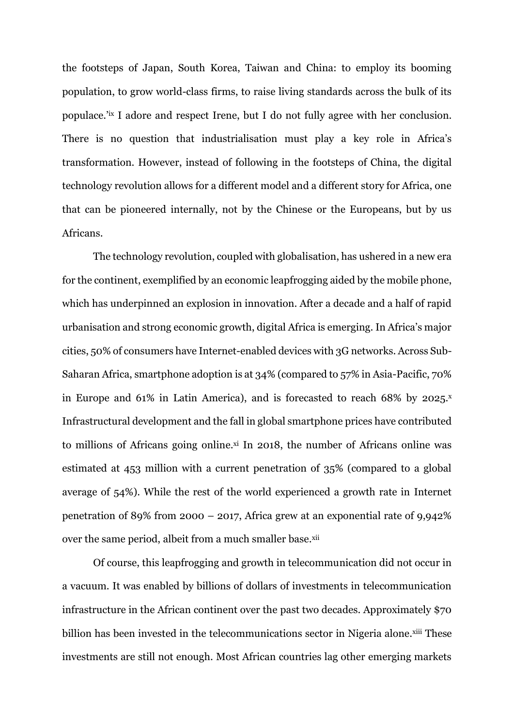the footsteps of Japan, South Korea, Taiwan and China: to employ its booming population, to grow world-class firms, to raise living standards across the bulk of its populace.<sup>'ix</sup> I adore and respect Irene, but I do not fully agree with her conclusion. There is no question that industrialisation must play a key role in Africa's transformation. However, instead of following in the footsteps of China, the digital technology revolution allows for a different model and a different story for Africa, one that can be pioneered internally, not by the Chinese or the Europeans, but by us Africans.

The technology revolution, coupled with globalisation, has ushered in a new era for the continent, exemplified by an economic leapfrogging aided by the mobile phone, which has underpinned an explosion in innovation. After a decade and a half of rapid urbanisation and strong economic growth, digital Africa is emerging. In Africa's major cities, 50% of consumers have Internet-enabled devices with 3G networks. Across Sub-Saharan Africa, smartphone adoption is at 34% (compared to 57% in Asia-Pacific, 70% in Europe and 61% in Latin America), and is forecasted to reach 68% by 2025. Infrastructural development and the fall in global smartphone prices have contributed to millions of Africans going online.xi In 2018, the number of Africans online was estimated at 453 million with a current penetration of 35% (compared to a global average of 54%). While the rest of the world experienced a growth rate in Internet penetration of 89% from 2000 – 2017, Africa grew at an exponential rate of 9,942% over the same period, albeit from a much smaller base.<sup>xii</sup>

Of course, this leapfrogging and growth in telecommunication did not occur in a vacuum. It was enabled by billions of dollars of investments in telecommunication infrastructure in the African continent over the past two decades. Approximately \$70 billion has been invested in the telecommunications sector in Nigeria alone.xiii These investments are still not enough. Most African countries lag other emerging markets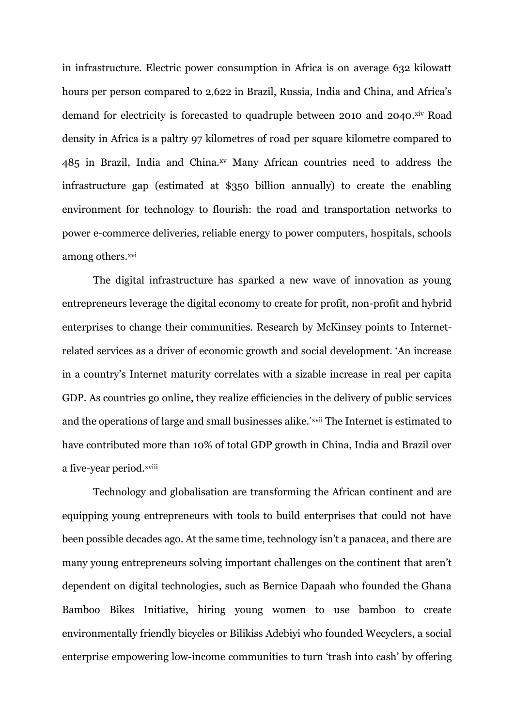in infrastructure. Electric power consumption in Africa is on average 632 kilowatt hours per person compared to 2,622 in Brazil, Russia, India and China, and Africa's demand for electricity is forecasted to quadruple between 2010 and 2040. Xiv Road density in Africa is a paltry 97 kilometres of road per square kilometre compared to 485 in Brazil, India and China.xv Many African countries need to address the infrastructure gap (estimated at \$350 billion annually) to create the enabling environment for technology to flourish: the road and transportation networks to power e-commerce deliveries, reliable energy to power computers, hospitals, schools among others.<sup>xvi</sup>

The digital infrastructure has sparked a new wave of innovation as young entrepreneurs leverage the digital economy to create for profit, non-profit and hybrid enterprises to change their communities. Research by McKinsey points to Internetrelated services as a driver of economic growth and social development. 'An increase in a country's Internet maturity correlates with a sizable increase in real per capita GDP. As countries go online, they realize efficiencies in the delivery of public services and the operations of large and small businesses alike.'xvii The Internet is estimated to have contributed more than 10% of total GDP growth in China, India and Brazil over a five-year period.xviii

Technology and globalisation are transforming the African continent and are equipping young entrepreneurs with tools to build enterprises that could not have been possible decades ago. At the same time, technology isn't a panacea, and there are many young entrepreneurs solving important challenges on the continent that aren't dependent on digital technologies, such as Bernice Dapaah who founded the Ghana Bamboo Bikes Initiative, hiring young women to use bamboo to create environmentally friendly bicycles or Bilikiss Adebiyi who founded Wecyclers, a social enterprise empowering low-income communities to turn 'trash into cash' by offering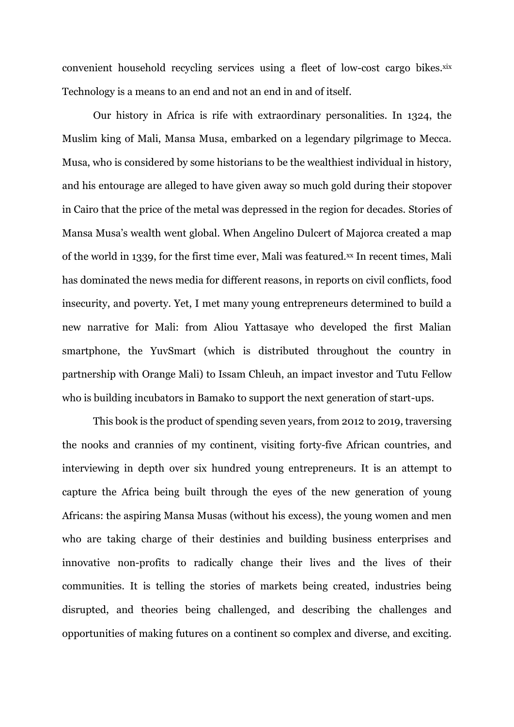convenient household recycling services using a fleet of low-cost cargo bikes.xix Technology is a means to an end and not an end in and of itself.

Our history in Africa is rife with extraordinary personalities. In 1324, the Muslim king of Mali, Mansa Musa, embarked on a legendary pilgrimage to Mecca. Musa, who is considered by some historians to be the wealthiest individual in history, and his entourage are alleged to have given away so much gold during their stopover in Cairo that the price of the metal was depressed in the region for decades. Stories of Mansa Musa's wealth went global. When Angelino Dulcert of Majorca created a map of the world in 1339, for the first time ever, Mali was featured.xx In recent times, Mali has dominated the news media for different reasons, in reports on civil conflicts, food insecurity, and poverty. Yet, I met many young entrepreneurs determined to build a new narrative for Mali: from Aliou Yattasaye who developed the first Malian smartphone, the YuvSmart (which is distributed throughout the country in partnership with Orange Mali) to Issam Chleuh, an impact investor and Tutu Fellow who is building incubators in Bamako to support the next generation of start-ups.

This book is the product of spending seven years, from 2012 to 2019, traversing the nooks and crannies of my continent, visiting forty-five African countries, and interviewing in depth over six hundred young entrepreneurs. It is an attempt to capture the Africa being built through the eyes of the new generation of young Africans: the aspiring Mansa Musas (without his excess), the young women and men who are taking charge of their destinies and building business enterprises and innovative non-profits to radically change their lives and the lives of their communities. It is telling the stories of markets being created, industries being disrupted, and theories being challenged, and describing the challenges and opportunities of making futures on a continent so complex and diverse, and exciting.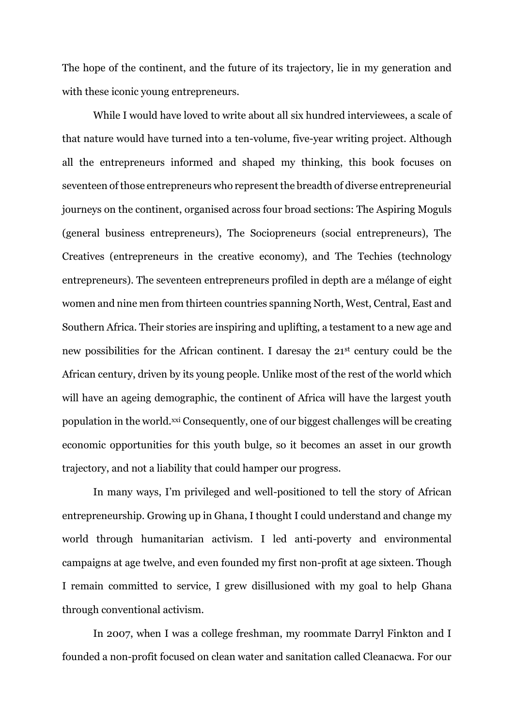The hope of the continent, and the future of its trajectory, lie in my generation and with these iconic young entrepreneurs.

While I would have loved to write about all six hundred interviewees, a scale of that nature would have turned into a ten-volume, five-year writing project. Although all the entrepreneurs informed and shaped my thinking, this book focuses on seventeen of those entrepreneurs who represent the breadth of diverse entrepreneurial journeys on the continent, organised across four broad sections: The Aspiring Moguls (general business entrepreneurs), The Sociopreneurs (social entrepreneurs), The Creatives (entrepreneurs in the creative economy), and The Techies (technology entrepreneurs). The seventeen entrepreneurs profiled in depth are a mélange of eight women and nine men from thirteen countries spanning North, West, Central, East and Southern Africa. Their stories are inspiring and uplifting, a testament to a new age and new possibilities for the African continent. I daresay the 21st century could be the African century, driven by its young people. Unlike most of the rest of the world which will have an ageing demographic, the continent of Africa will have the largest youth population in the world.xxi Consequently, one of our biggest challenges will be creating economic opportunities for this youth bulge, so it becomes an asset in our growth trajectory, and not a liability that could hamper our progress.

In many ways, I'm privileged and well-positioned to tell the story of African entrepreneurship. Growing up in Ghana, I thought I could understand and change my world through humanitarian activism. I led anti-poverty and environmental campaigns at age twelve, and even founded my first non-profit at age sixteen. Though I remain committed to service, I grew disillusioned with my goal to help Ghana through conventional activism.

In 2007, when I was a college freshman, my roommate Darryl Finkton and I founded a non-profit focused on clean water and sanitation called Cleanacwa. For our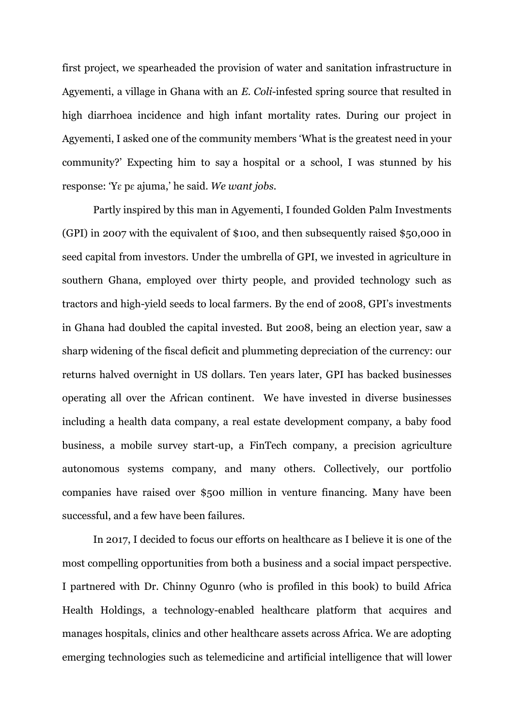first project, we spearheaded the provision of water and sanitation infrastructure in Agyementi, a village in Ghana with an *E. Coli*-infested spring source that resulted in high diarrhoea incidence and high infant mortality rates. During our project in Agyementi, I asked one of the community members 'What is the greatest need in your community?' Expecting him to say a hospital or a school, I was stunned by his response: 'Yɛ pɛ ajuma,' he said. *We want jobs.*

Partly inspired by this man in Agyementi, I founded Golden Palm Investments (GPI) in 2007 with the equivalent of \$100, and then subsequently raised \$50,000 in seed capital from investors. Under the umbrella of GPI, we invested in agriculture in southern Ghana, employed over thirty people, and provided technology such as tractors and high-yield seeds to local farmers. By the end of 2008, GPI's investments in Ghana had doubled the capital invested. But 2008, being an election year, saw a sharp widening of the fiscal deficit and plummeting depreciation of the currency: our returns halved overnight in US dollars. Ten years later, GPI has backed businesses operating all over the African continent. We have invested in diverse businesses including a health data company, a real estate development company, a baby food business, a mobile survey start-up, a FinTech company, a precision agriculture autonomous systems company, and many others. Collectively, our portfolio companies have raised over \$500 million in venture financing. Many have been successful, and a few have been failures.

In 2017, I decided to focus our efforts on healthcare as I believe it is one of the most compelling opportunities from both a business and a social impact perspective. I partnered with Dr. Chinny Ogunro (who is profiled in this book) to build Africa Health Holdings, a technology-enabled healthcare platform that acquires and manages hospitals, clinics and other healthcare assets across Africa. We are adopting emerging technologies such as telemedicine and artificial intelligence that will lower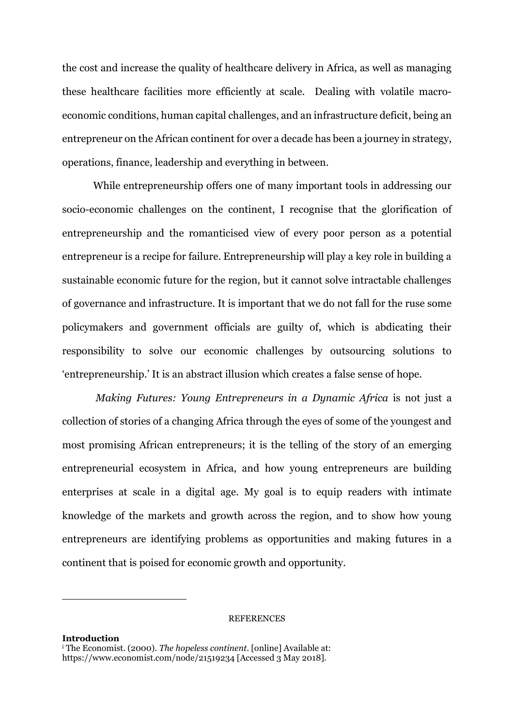the cost and increase the quality of healthcare delivery in Africa, as well as managing these healthcare facilities more efficiently at scale. Dealing with volatile macroeconomic conditions, human capital challenges, and an infrastructure deficit, being an entrepreneur on the African continent for over a decade has been a journey in strategy, operations, finance, leadership and everything in between.

While entrepreneurship offers one of many important tools in addressing our socio-economic challenges on the continent, I recognise that the glorification of entrepreneurship and the romanticised view of every poor person as a potential entrepreneur is a recipe for failure. Entrepreneurship will play a key role in building a sustainable economic future for the region, but it cannot solve intractable challenges of governance and infrastructure. It is important that we do not fall for the ruse some policymakers and government officials are guilty of, which is abdicating their responsibility to solve our economic challenges by outsourcing solutions to 'entrepreneurship.' It is an abstract illusion which creates a false sense of hope.

*Making Futures: Young Entrepreneurs in a Dynamic Africa* is not just a collection of stories of a changing Africa through the eyes of some of the youngest and most promising African entrepreneurs; it is the telling of the story of an emerging entrepreneurial ecosystem in Africa, and how young entrepreneurs are building enterprises at scale in a digital age. My goal is to equip readers with intimate knowledge of the markets and growth across the region, and to show how young entrepreneurs are identifying problems as opportunities and making futures in a continent that is poised for economic growth and opportunity.

## **REFERENCES**

```
Introduction 
i The Economist. (2000). The hopeless continent. [online] Available at: 
https://www.economist.com/node/21519234 [Accessed 3 May 2018].
```
<u>.</u>